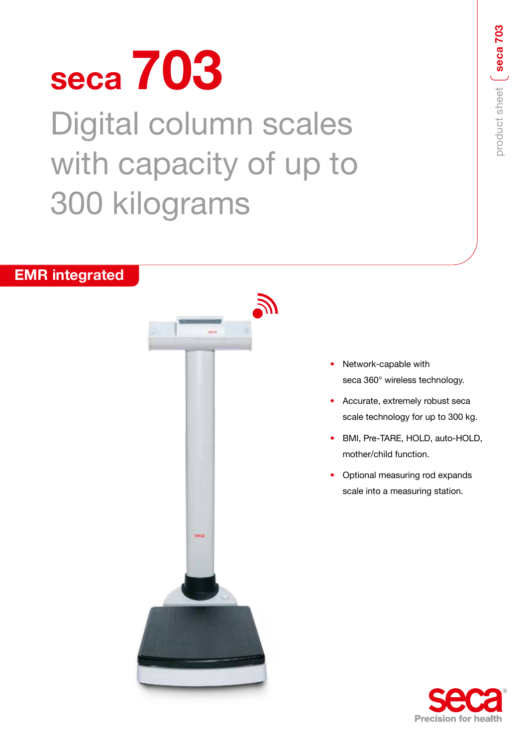# **seca 703** Digital column scales with capacity of up to 300 kilograms